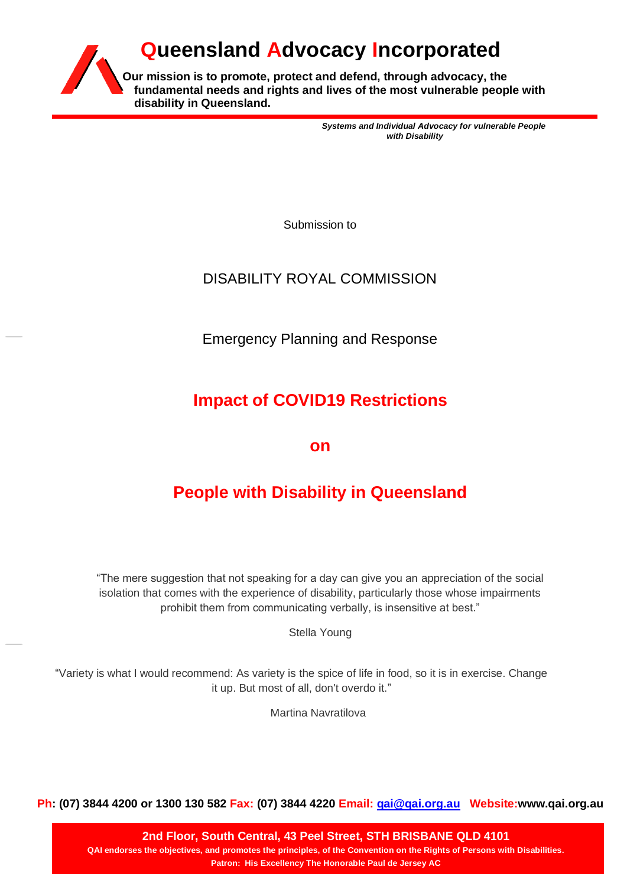

*Systems and Individual Advocacy for vulnerable People with Disability*

Submission to

# DISABILITY ROYAL COMMISSION

Emergency Planning and Response

# **Impact of COVID19 Restrictions**

**on** 

# **People with Disability in Queensland**

"The mere suggestion that not speaking for a day can give you an appreciation of the social isolation that comes with the experience of disability, particularly those whose impairments prohibit them from communicating verbally, is insensitive at best."

Stella Young

"Variety is what I would recommend: As variety is the spice of life in food, so it is in exercise. Change it up. But most of all, don't overdo it."

Martina Navratilova

**Ph: (07) 3844 4200 or 1300 130 582 Fax: (07) 3844 4220 Email: [qai@qai.org.au](mailto:qai@qai.org.au) Website:www.qai.org.au**

**2nd Floor, South Central, 43 Peel Street, STH BRISBANE QLD 4101 QAI endorses the objectives, and promotes the principles, of the Convention on the Rights of Persons with Disabilities. Patron: His Excellency The Honorable Paul de Jersey AC**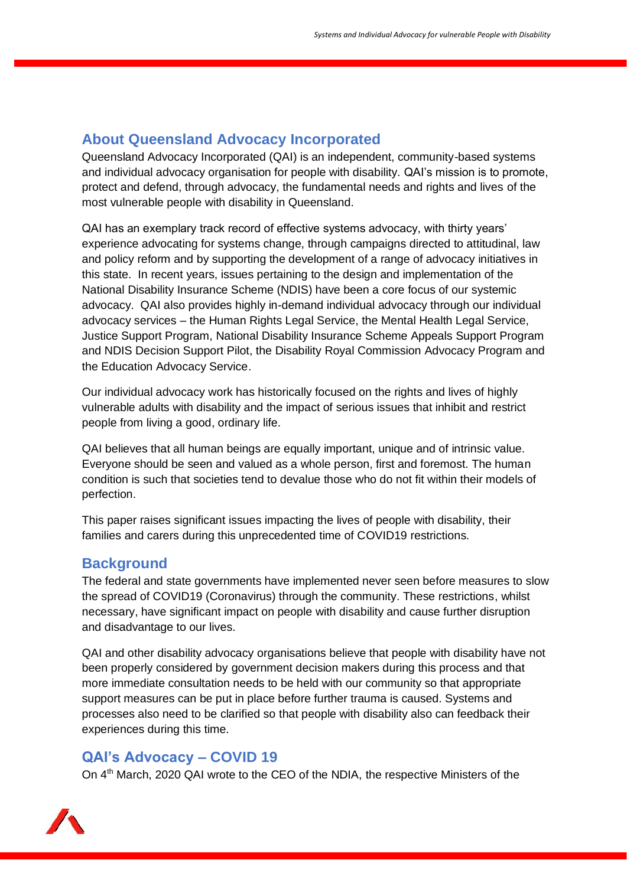# **About Queensland Advocacy Incorporated**

Queensland Advocacy Incorporated (QAI) is an independent, community-based systems and individual advocacy organisation for people with disability. QAI's mission is to promote, protect and defend, through advocacy, the fundamental needs and rights and lives of the most vulnerable people with disability in Queensland.

QAI has an exemplary track record of effective systems advocacy, with thirty years' experience advocating for systems change, through campaigns directed to attitudinal, law and policy reform and by supporting the development of a range of advocacy initiatives in this state. In recent years, issues pertaining to the design and implementation of the National Disability Insurance Scheme (NDIS) have been a core focus of our systemic advocacy. QAI also provides highly in-demand individual advocacy through our individual advocacy services – the Human Rights Legal Service, the Mental Health Legal Service, Justice Support Program, National Disability Insurance Scheme Appeals Support Program and NDIS Decision Support Pilot, the Disability Royal Commission Advocacy Program and the Education Advocacy Service.

Our individual advocacy work has historically focused on the rights and lives of highly vulnerable adults with disability and the impact of serious issues that inhibit and restrict people from living a good, ordinary life.

QAI believes that all human beings are equally important, unique and of intrinsic value. Everyone should be seen and valued as a whole person, first and foremost. The human condition is such that societies tend to devalue those who do not fit within their models of perfection.

This paper raises significant issues impacting the lives of people with disability, their families and carers during this unprecedented time of COVID19 restrictions.

### **Background**

The federal and state governments have implemented never seen before measures to slow the spread of COVID19 (Coronavirus) through the community. These restrictions, whilst necessary, have significant impact on people with disability and cause further disruption and disadvantage to our lives.

QAI and other disability advocacy organisations believe that people with disability have not been properly considered by government decision makers during this process and that more immediate consultation needs to be held with our community so that appropriate support measures can be put in place before further trauma is caused. Systems and processes also need to be clarified so that people with disability also can feedback their experiences during this time.

### **QAI's Advocacy – COVID 19**

On 4<sup>th</sup> March, 2020 QAI wrote to the CEO of the NDIA, the respective Ministers of the

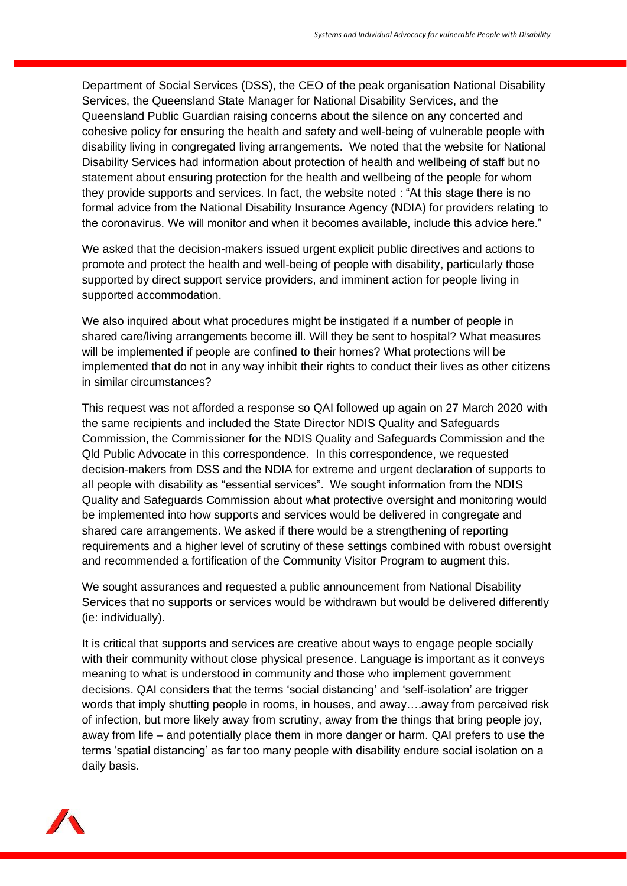Department of Social Services (DSS), the CEO of the peak organisation National Disability Services, the Queensland State Manager for National Disability Services, and the Queensland Public Guardian raising concerns about the silence on any concerted and cohesive policy for ensuring the health and safety and well-being of vulnerable people with disability living in congregated living arrangements. We noted that the website for National Disability Services had information about protection of health and wellbeing of staff but no statement about ensuring protection for the health and wellbeing of the people for whom they provide supports and services. In fact, the website noted : "At this stage there is no formal advice from the National Disability Insurance Agency (NDIA) for providers relating to the coronavirus. We will monitor and when it becomes available, include this advice here."

We asked that the decision-makers issued urgent explicit public directives and actions to promote and protect the health and well-being of people with disability, particularly those supported by direct support service providers, and imminent action for people living in supported accommodation.

We also inquired about what procedures might be instigated if a number of people in shared care/living arrangements become ill. Will they be sent to hospital? What measures will be implemented if people are confined to their homes? What protections will be implemented that do not in any way inhibit their rights to conduct their lives as other citizens in similar circumstances?

This request was not afforded a response so QAI followed up again on 27 March 2020 with the same recipients and included the State Director NDIS Quality and Safeguards Commission, the Commissioner for the NDIS Quality and Safeguards Commission and the Qld Public Advocate in this correspondence. In this correspondence, we requested decision-makers from DSS and the NDIA for extreme and urgent declaration of supports to all people with disability as "essential services". We sought information from the NDIS Quality and Safeguards Commission about what protective oversight and monitoring would be implemented into how supports and services would be delivered in congregate and shared care arrangements. We asked if there would be a strengthening of reporting requirements and a higher level of scrutiny of these settings combined with robust oversight and recommended a fortification of the Community Visitor Program to augment this.

We sought assurances and requested a public announcement from National Disability Services that no supports or services would be withdrawn but would be delivered differently (ie: individually).

It is critical that supports and services are creative about ways to engage people socially with their community without close physical presence. Language is important as it conveys meaning to what is understood in community and those who implement government decisions. QAI considers that the terms 'social distancing' and 'self-isolation' are trigger words that imply shutting people in rooms, in houses, and away….away from perceived risk of infection, but more likely away from scrutiny, away from the things that bring people joy, away from life – and potentially place them in more danger or harm. QAI prefers to use the terms 'spatial distancing' as far too many people with disability endure social isolation on a daily basis.

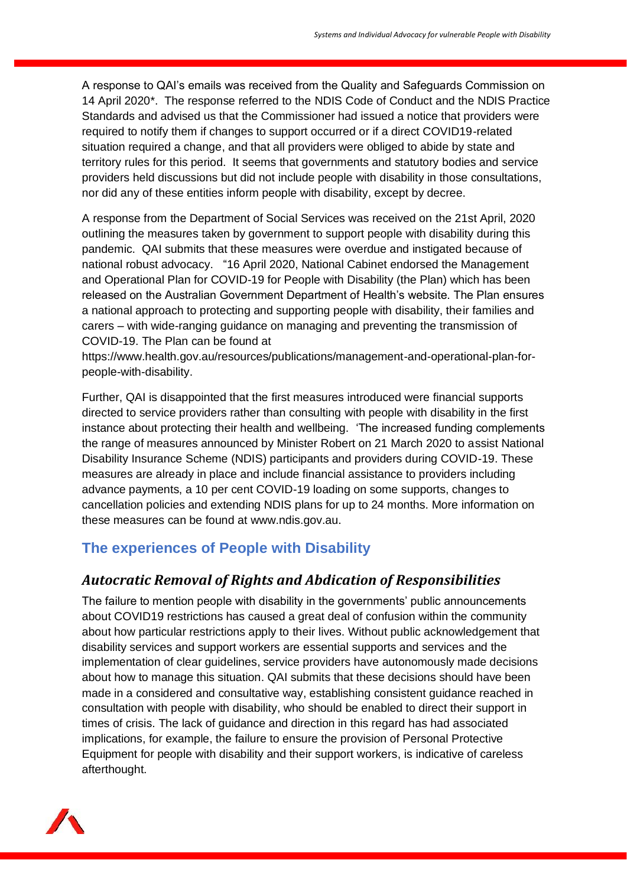A response to QAI's emails was received from the Quality and Safeguards Commission on 14 April 2020\*. The response referred to the [NDIS Code of Conduct](https://www.ndiscommission.gov.au/providers/ndis-code-conduct) and the [NDIS Practice](https://www.ndiscommission.gov.au/providers/ndis-practice-standards)  [Standards](https://www.ndiscommission.gov.au/providers/ndis-practice-standards) and advised us that the Commissioner had issued a notice that providers were required to notify them if changes to support occurred or if a direct COVID19-related situation required a change, and that all providers were obliged to abide by state and territory rules for this period. It seems that governments and statutory bodies and service providers held discussions but did not include people with disability in those consultations, nor did any of these entities inform people with disability, except by decree.

A response from the Department of Social Services was received on the 21st April, 2020 outlining the measures taken by government to support people with disability during this pandemic. QAI submits that these measures were overdue and instigated because of national robust advocacy. "16 April 2020, National Cabinet endorsed the Management and Operational Plan for COVID-19 for People with Disability (the Plan) which has been released on the Australian Government Department of Health's website. The Plan ensures a national approach to protecting and supporting people with disability, their families and carers – with wide-ranging guidance on managing and preventing the transmission of COVID-19. The Plan can be found at

[https://www.health.gov.au/resources/publications/management-and-operational-plan-for](https://www.health.gov.au/resources/publications/management-and-operational-plan-for-people-with-disability)[people-with-disability.](https://www.health.gov.au/resources/publications/management-and-operational-plan-for-people-with-disability)

Further, QAI is disappointed that the first measures introduced were financial supports directed to service providers rather than consulting with people with disability in the first instance about protecting their health and wellbeing. 'The increased funding complements the range of measures announced by Minister Robert on 21 March 2020 to assist National Disability Insurance Scheme (NDIS) participants and providers during COVID-19. These measures are already in place and include financial assistance to providers including advance payments, a 10 per cent COVID-19 loading on some supports, changes to cancellation policies and extending NDIS plans for up to 24 months. More information on these measures can be found at [www.ndis.gov.au.](http://www.ndis.gov.au/)

# **The experiences of People with Disability**

## *Autocratic Removal of Rights and Abdication of Responsibilities*

The failure to mention people with disability in the governments' public announcements about COVID19 restrictions has caused a great deal of confusion within the community about how particular restrictions apply to their lives. Without public acknowledgement that disability services and support workers are essential supports and services and the implementation of clear guidelines, service providers have autonomously made decisions about how to manage this situation. QAI submits that these decisions should have been made in a considered and consultative way, establishing consistent guidance reached in consultation with people with disability, who should be enabled to direct their support in times of crisis. The lack of guidance and direction in this regard has had associated implications, for example, the failure to ensure the provision of Personal Protective Equipment for people with disability and their support workers, is indicative of careless afterthought.

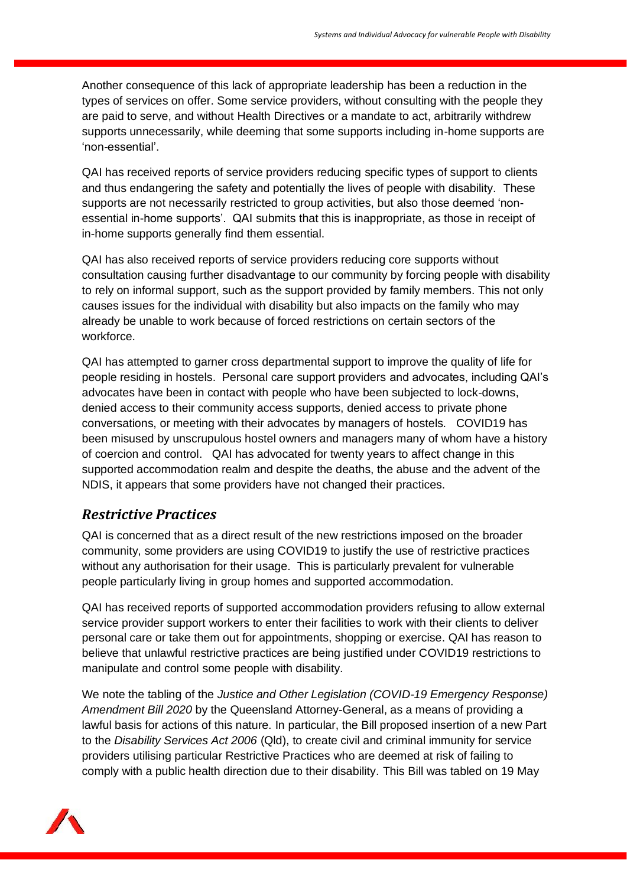Another consequence of this lack of appropriate leadership has been a reduction in the types of services on offer. Some service providers, without consulting with the people they are paid to serve, and without Health Directives or a mandate to act, arbitrarily withdrew supports unnecessarily, while deeming that some supports including in-home supports are 'non-essential'.

QAI has received reports of service providers reducing specific types of support to clients and thus endangering the safety and potentially the lives of people with disability. These supports are not necessarily restricted to group activities, but also those deemed 'nonessential in-home supports'. QAI submits that this is inappropriate, as those in receipt of in-home supports generally find them essential.

QAI has also received reports of service providers reducing core supports without consultation causing further disadvantage to our community by forcing people with disability to rely on informal support, such as the support provided by family members. This not only causes issues for the individual with disability but also impacts on the family who may already be unable to work because of forced restrictions on certain sectors of the workforce.

QAI has attempted to garner cross departmental support to improve the quality of life for people residing in hostels. Personal care support providers and advocates, including QAI's advocates have been in contact with people who have been subjected to lock-downs, denied access to their community access supports, denied access to private phone conversations, or meeting with their advocates by managers of hostels. COVID19 has been misused by unscrupulous hostel owners and managers many of whom have a history of coercion and control. QAI has advocated for twenty years to affect change in this supported accommodation realm and despite the deaths, the abuse and the advent of the NDIS, it appears that some providers have not changed their practices.

### *Restrictive Practices*

QAI is concerned that as a direct result of the new restrictions imposed on the broader community, some providers are using COVID19 to justify the use of restrictive practices without any authorisation for their usage. This is particularly prevalent for vulnerable people particularly living in group homes and supported accommodation.

QAI has received reports of supported accommodation providers refusing to allow external service provider support workers to enter their facilities to work with their clients to deliver personal care or take them out for appointments, shopping or exercise. QAI has reason to believe that unlawful restrictive practices are being justified under COVID19 restrictions to manipulate and control some people with disability.

We note the tabling of the *Justice and Other Legislation (COVID-19 Emergency Response) Amendment Bill 2020* by the Queensland Attorney-General, as a means of providing a lawful basis for actions of this nature. In particular, the Bill proposed insertion of a new Part to the *Disability Services Act 2006* (Qld), to create civil and criminal immunity for service providers utilising particular Restrictive Practices who are deemed at risk of failing to comply with a public health direction due to their disability. This Bill was tabled on 19 May

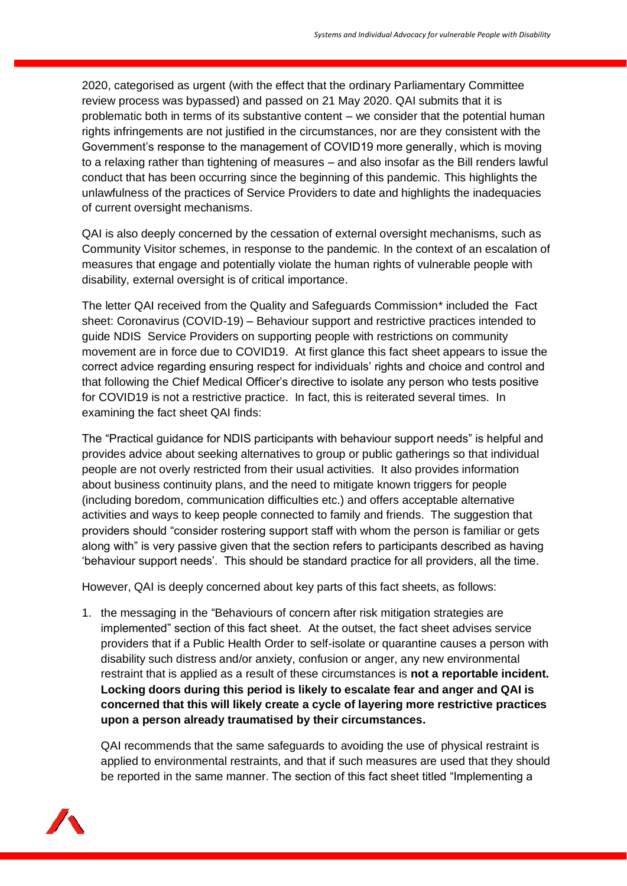2020, categorised as urgent (with the effect that the ordinary Parliamentary Committee review process was bypassed) and passed on 21 May 2020. QAI submits that it is problematic both in terms of its substantive content – we consider that the potential human rights infringements are not justified in the circumstances, nor are they consistent with the Government's response to the management of COVID19 more generally, which is moving to a relaxing rather than tightening of measures – and also insofar as the Bill renders lawful conduct that has been occurring since the beginning of this pandemic. This highlights the unlawfulness of the practices of Service Providers to date and highlights the inadequacies of current oversight mechanisms.

QAI is also deeply concerned by the cessation of external oversight mechanisms, such as Community Visitor schemes, in response to the pandemic. In the context of an escalation of measures that engage and potentially violate the human rights of vulnerable people with disability, external oversight is of critical importance.

The letter QAI received from the Quality and Safeguards Commission\* included [the Fact](https://www.ndiscommission.gov.au/document/1991)  sheet: Coronavirus (COVID-19) – [Behaviour support and restrictive practices](https://www.ndiscommission.gov.au/document/1991) intended to guide NDIS Service Providers on supporting people with restrictions on community movement are in force due to COVID19. At first glance this fact sheet appears to issue the correct advice regarding ensuring respect for individuals' rights and choice and control and that following the Chief Medical Officer's directive to isolate any person who tests positive for COVID19 is not a restrictive practice. In fact, this is reiterated several times. In examining the fact sheet QAI finds:

The "Practical guidance for NDIS participants with behaviour support needs" is helpful and provides advice about seeking alternatives to group or public gatherings so that individual people are not overly restricted from their usual activities. It also provides information about business continuity plans, and the need to mitigate known triggers for people (including boredom, communication difficulties etc.) and offers acceptable alternative activities and ways to keep people connected to family and friends. The suggestion that providers should "consider rostering support staff with whom the person is familiar or gets along with" is very passive given that the section refers to participants described as having 'behaviour support needs'. This should be standard practice for all providers, all the time.

However, QAI is deeply concerned about key parts of this fact sheets, as follows:

1. the messaging in the "Behaviours of concern after risk mitigation strategies are implemented" section of this fact sheet. At the outset, the fact sheet advises service providers that if a Public Health Order to self-isolate or quarantine causes a person with disability such distress and/or anxiety, confusion or anger, any new environmental restraint that is applied as a result of these circumstances is **not a reportable incident. Locking doors during this period is likely to escalate fear and anger and QAI is concerned that this will likely create a cycle of layering more restrictive practices upon a person already traumatised by their circumstances.**

QAI recommends that the same safeguards to avoiding the use of physical restraint is applied to environmental restraints, and that if such measures are used that they should be reported in the same manner. The section of this fact sheet titled "Implementing a

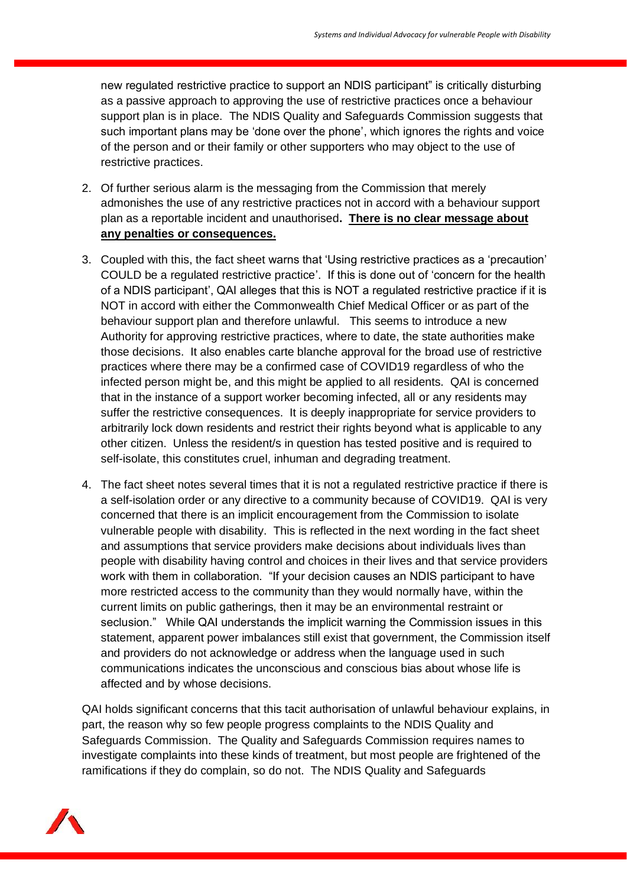new regulated restrictive practice to support an NDIS participant" is critically disturbing as a passive approach to approving the use of restrictive practices once a behaviour support plan is in place. The NDIS Quality and Safeguards Commission suggests that such important plans may be 'done over the phone', which ignores the rights and voice of the person and or their family or other supporters who may object to the use of restrictive practices.

- 2. Of further serious alarm is the messaging from the Commission that merely admonishes the use of any restrictive practices not in accord with a behaviour support plan as a reportable incident and unauthorised**. There is no clear message about any penalties or consequences.**
- 3. Coupled with this, the fact sheet warns that 'Using restrictive practices as a 'precaution' COULD be a regulated restrictive practice'. If this is done out of 'concern for the health of a NDIS participant', QAI alleges that this is NOT a regulated restrictive practice if it is NOT in accord with either the Commonwealth Chief Medical Officer or as part of the behaviour support plan and therefore unlawful. This seems to introduce a new Authority for approving restrictive practices, where to date, the state authorities make those decisions. It also enables carte blanche approval for the broad use of restrictive practices where there may be a confirmed case of COVID19 regardless of who the infected person might be, and this might be applied to all residents. QAI is concerned that in the instance of a support worker becoming infected, all or any residents may suffer the restrictive consequences. It is deeply inappropriate for service providers to arbitrarily lock down residents and restrict their rights beyond what is applicable to any other citizen. Unless the resident/s in question has tested positive and is required to self-isolate, this constitutes cruel, inhuman and degrading treatment.
- 4. The fact sheet notes several times that it is not a regulated restrictive practice if there is a self-isolation order or any directive to a community because of COVID19. QAI is very concerned that there is an implicit encouragement from the Commission to isolate vulnerable people with disability. This is reflected in the next wording in the fact sheet and assumptions that service providers make decisions about individuals lives than people with disability having control and choices in their lives and that service providers work with them in collaboration. "If your decision causes an NDIS participant to have more restricted access to the community than they would normally have, within the current limits on public gatherings, then it may be an environmental restraint or seclusion." While QAI understands the implicit warning the Commission issues in this statement, apparent power imbalances still exist that government, the Commission itself and providers do not acknowledge or address when the language used in such communications indicates the unconscious and conscious bias about whose life is affected and by whose decisions.

QAI holds significant concerns that this tacit authorisation of unlawful behaviour explains, in part, the reason why so few people progress complaints to the NDIS Quality and Safeguards Commission. The Quality and Safeguards Commission requires names to investigate complaints into these kinds of treatment, but most people are frightened of the ramifications if they do complain, so do not. The NDIS Quality and Safeguards

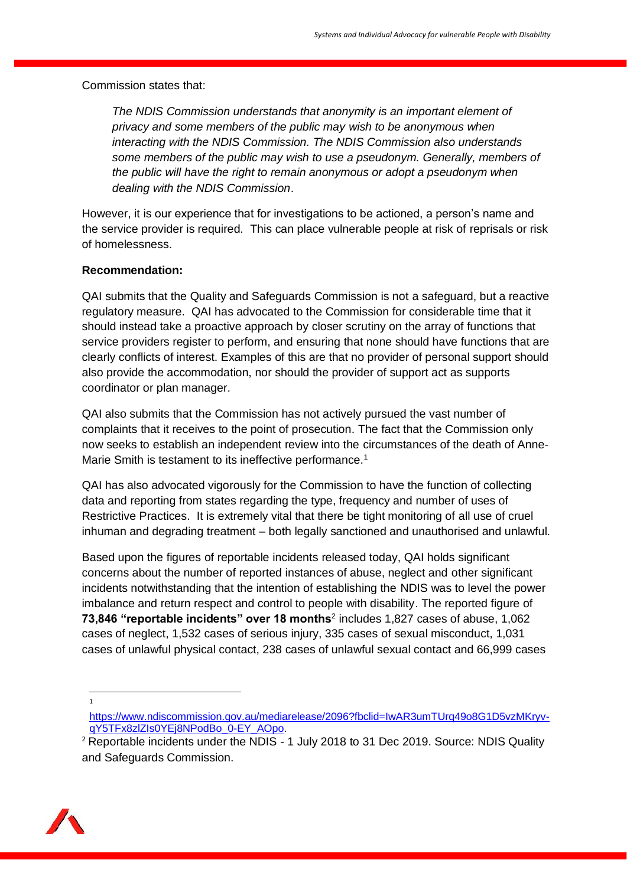Commission states that:

*The NDIS Commission understands that anonymity is an important element of privacy and some members of the public may wish to be anonymous when interacting with the NDIS Commission. The NDIS Commission also understands some members of the public may wish to use a pseudonym. Generally, members of the public will have the right to remain anonymous or adopt a pseudonym when dealing with the NDIS Commission*.

However, it is our experience that for investigations to be actioned, a person's name and the service provider is required. This can place vulnerable people at risk of reprisals or risk of homelessness.

#### **Recommendation:**

QAI submits that the Quality and Safeguards Commission is not a safeguard, but a reactive regulatory measure. QAI has advocated to the Commission for considerable time that it should instead take a proactive approach by closer scrutiny on the array of functions that service providers register to perform, and ensuring that none should have functions that are clearly conflicts of interest. Examples of this are that no provider of personal support should also provide the accommodation, nor should the provider of support act as supports coordinator or plan manager.

QAI also submits that the Commission has not actively pursued the vast number of complaints that it receives to the point of prosecution. The fact that the Commission only now seeks to establish an independent review into the circumstances of the death of Anne-Marie Smith is testament to its ineffective performance.<sup>1</sup>

QAI has also advocated vigorously for the Commission to have the function of collecting data and reporting from states regarding the type, frequency and number of uses of Restrictive Practices. It is extremely vital that there be tight monitoring of all use of cruel inhuman and degrading treatment – both legally sanctioned and unauthorised and unlawful.

Based upon the figures of reportable incidents released today, QAI holds significant concerns about the number of reported instances of abuse, neglect and other significant incidents notwithstanding that the intention of establishing the NDIS was to level the power imbalance and return respect and control to people with disability. The reported figure of **73,846 "reportable incidents" over 18 months**<sup>2</sup> includes 1,827 cases of abuse, 1,062 cases of neglect, 1,532 cases of serious injury, 335 cases of sexual misconduct, 1,031 cases of unlawful physical contact, 238 cases of unlawful sexual contact and 66,999 cases

1

<sup>&</sup>lt;sup>2</sup> Reportable incidents under the NDIS - 1 July 2018 to 31 Dec 2019. Source: NDIS Quality and Safeguards Commission.



[https://www.ndiscommission.gov.au/mediarelease/2096?fbclid=IwAR3umTUrq49o8G1D5vzMKryv](https://www.ndiscommission.gov.au/mediarelease/2096?fbclid=IwAR3umTUrq49o8G1D5vzMKryv-qY5TFx8zlZIs0YEj8NPodBo_0-EY_AOpo)[qY5TFx8zlZIs0YEj8NPodBo\\_0-EY\\_AOpo.](https://www.ndiscommission.gov.au/mediarelease/2096?fbclid=IwAR3umTUrq49o8G1D5vzMKryv-qY5TFx8zlZIs0YEj8NPodBo_0-EY_AOpo)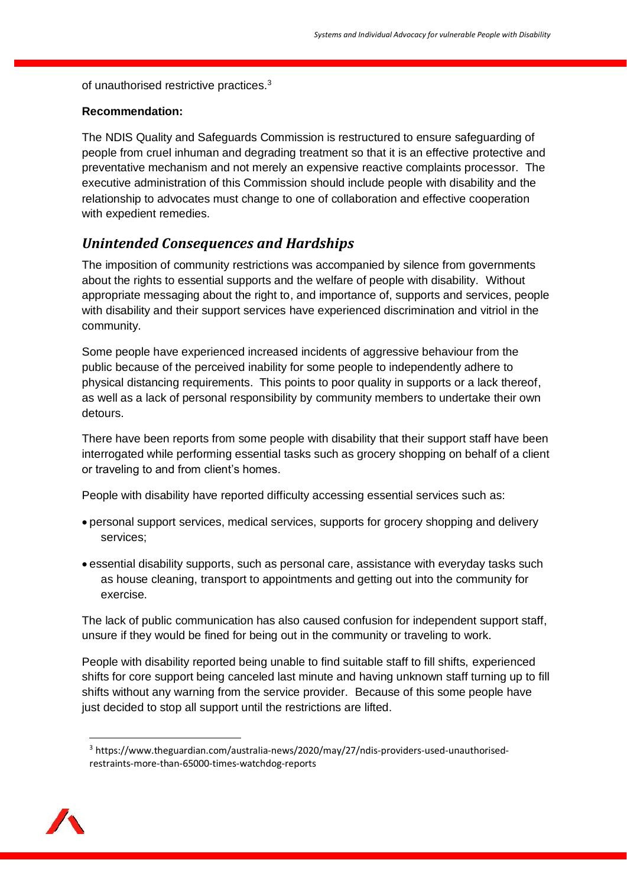of unauthorised restrictive practices.<sup>3</sup>

#### **Recommendation:**

The NDIS Quality and Safeguards Commission is restructured to ensure safeguarding of people from cruel inhuman and degrading treatment so that it is an effective protective and preventative mechanism and not merely an expensive reactive complaints processor. The executive administration of this Commission should include people with disability and the relationship to advocates must change to one of collaboration and effective cooperation with expedient remedies.

### *Unintended Consequences and Hardships*

The imposition of community restrictions was accompanied by silence from governments about the rights to essential supports and the welfare of people with disability. Without appropriate messaging about the right to, and importance of, supports and services, people with disability and their support services have experienced discrimination and vitriol in the community.

Some people have experienced increased incidents of aggressive behaviour from the public because of the perceived inability for some people to independently adhere to physical distancing requirements. This points to poor quality in supports or a lack thereof, as well as a lack of personal responsibility by community members to undertake their own detours.

There have been reports from some people with disability that their support staff have been interrogated while performing essential tasks such as grocery shopping on behalf of a client or traveling to and from client's homes.

People with disability have reported difficulty accessing essential services such as:

- personal support services, medical services, supports for grocery shopping and delivery services;
- essential disability supports, such as personal care, assistance with everyday tasks such as house cleaning, transport to appointments and getting out into the community for exercise.

The lack of public communication has also caused confusion for independent support staff, unsure if they would be fined for being out in the community or traveling to work.

People with disability reported being unable to find suitable staff to fill shifts, experienced shifts for core support being canceled last minute and having unknown staff turning up to fill shifts without any warning from the service provider. Because of this some people have just decided to stop all support until the restrictions are lifted.

<sup>3</sup> https://www.theguardian.com/australia-news/2020/may/27/ndis-providers-used-unauthorisedrestraints-more-than-65000-times-watchdog-reports

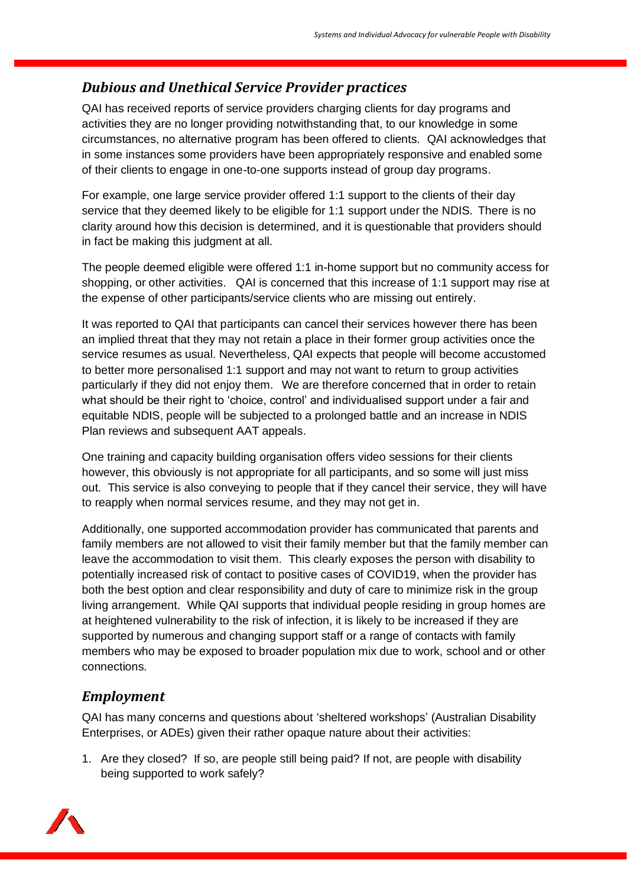# *Dubious and Unethical Service Provider practices*

QAI has received reports of service providers charging clients for day programs and activities they are no longer providing notwithstanding that, to our knowledge in some circumstances, no alternative program has been offered to clients. QAI acknowledges that in some instances some providers have been appropriately responsive and enabled some of their clients to engage in one-to-one supports instead of group day programs.

For example, one large service provider offered 1:1 support to the clients of their day service that they deemed likely to be eligible for 1:1 support under the NDIS. There is no clarity around how this decision is determined, and it is questionable that providers should in fact be making this judgment at all.

The people deemed eligible were offered 1:1 in-home support but no community access for shopping, or other activities. QAI is concerned that this increase of 1:1 support may rise at the expense of other participants/service clients who are missing out entirely.

It was reported to QAI that participants can cancel their services however there has been an implied threat that they may not retain a place in their former group activities once the service resumes as usual. Nevertheless, QAI expects that people will become accustomed to better more personalised 1:1 support and may not want to return to group activities particularly if they did not enjoy them. We are therefore concerned that in order to retain what should be their right to 'choice, control' and individualised support under a fair and equitable NDIS, people will be subjected to a prolonged battle and an increase in NDIS Plan reviews and subsequent AAT appeals.

One training and capacity building organisation offers video sessions for their clients however, this obviously is not appropriate for all participants, and so some will just miss out. This service is also conveying to people that if they cancel their service, they will have to reapply when normal services resume, and they may not get in.

Additionally, one supported accommodation provider has communicated that parents and family members are not allowed to visit their family member but that the family member can leave the accommodation to visit them. This clearly exposes the person with disability to potentially increased risk of contact to positive cases of COVID19, when the provider has both the best option and clear responsibility and duty of care to minimize risk in the group living arrangement. While QAI supports that individual people residing in group homes are at heightened vulnerability to the risk of infection, it is likely to be increased if they are supported by numerous and changing support staff or a range of contacts with family members who may be exposed to broader population mix due to work, school and or other connections.

# *Employment*

QAI has many concerns and questions about 'sheltered workshops' (Australian Disability Enterprises, or ADEs) given their rather opaque nature about their activities:

1. Are they closed? If so, are people still being paid? If not, are people with disability being supported to work safely?

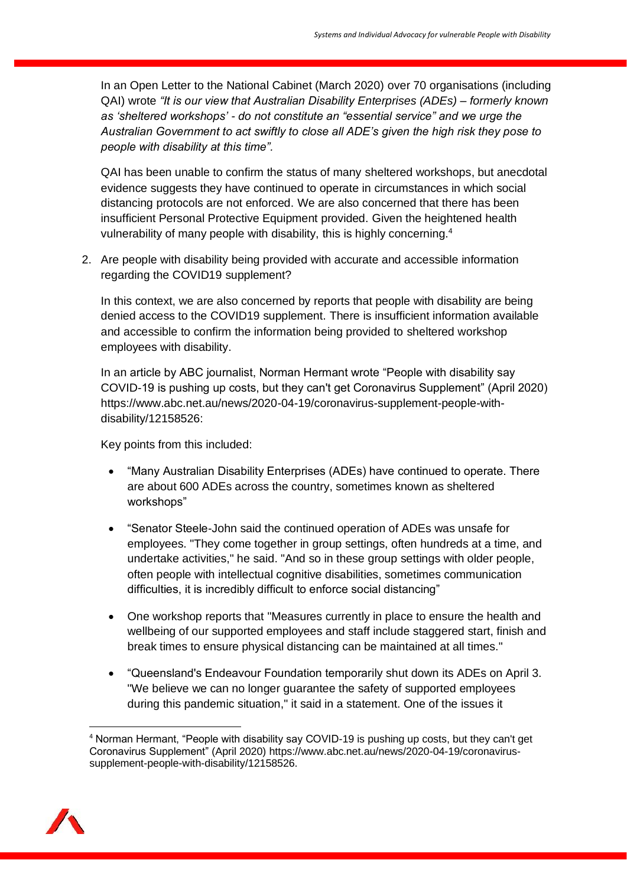In an Open Letter to the National Cabinet (March 2020) over 70 organisations (including QAI) wrote *"It is our view that Australian Disability Enterprises (ADEs) – formerly known as 'sheltered workshops' - do not constitute an "essential service" and we urge the Australian Government to act swiftly to close all ADE's given the high risk they pose to people with disability at this time".*

QAI has been unable to confirm the status of many sheltered workshops, but anecdotal evidence suggests they have continued to operate in circumstances in which social distancing protocols are not enforced. We are also concerned that there has been insufficient Personal Protective Equipment provided. Given the heightened health vulnerability of many people with disability, this is highly concerning.<sup>4</sup>

2. Are people with disability being provided with accurate and accessible information regarding the COVID19 supplement?

In this context, we are also concerned by reports that people with disability are being denied access to the COVID19 supplement. There is insufficient information available and accessible to confirm the information being provided to sheltered workshop employees with disability.

In an article by ABC journalist, Norman Hermant wrote "People with disability say COVID-19 is pushing up costs, but they can't get Coronavirus Supplement" (April 2020) https://www.abc.net.au/news/2020-04-19/coronavirus-supplement-people-withdisability/12158526:

Key points from this included:

- "Many Australian Disability Enterprises (ADEs) have continued to operate. There are about 600 ADEs across the country, sometimes known as sheltered workshops"
- "Senator Steele-John said the continued operation of ADEs was unsafe for employees. "They come together in group settings, often hundreds at a time, and undertake activities," he said. "And so in these group settings with older people, often people with intellectual cognitive disabilities, sometimes communication difficulties, it is incredibly difficult to enforce social distancing"
- One workshop reports that "Measures currently in place to ensure the health and wellbeing of our supported employees and staff include staggered start, finish and break times to ensure physical distancing can be maintained at all times."
- "Queensland's Endeavour Foundation temporarily shut down its ADEs on April 3. "We believe we can no longer guarantee the safety of supported employees during this pandemic situation," it said in a statement. One of the issues it

<sup>4</sup> Norman Hermant, "People with disability say COVID-19 is pushing up costs, but they can't get Coronavirus Supplement" (April 2020) https://www.abc.net.au/news/2020-04-19/coronavirussupplement-people-with-disability/12158526.

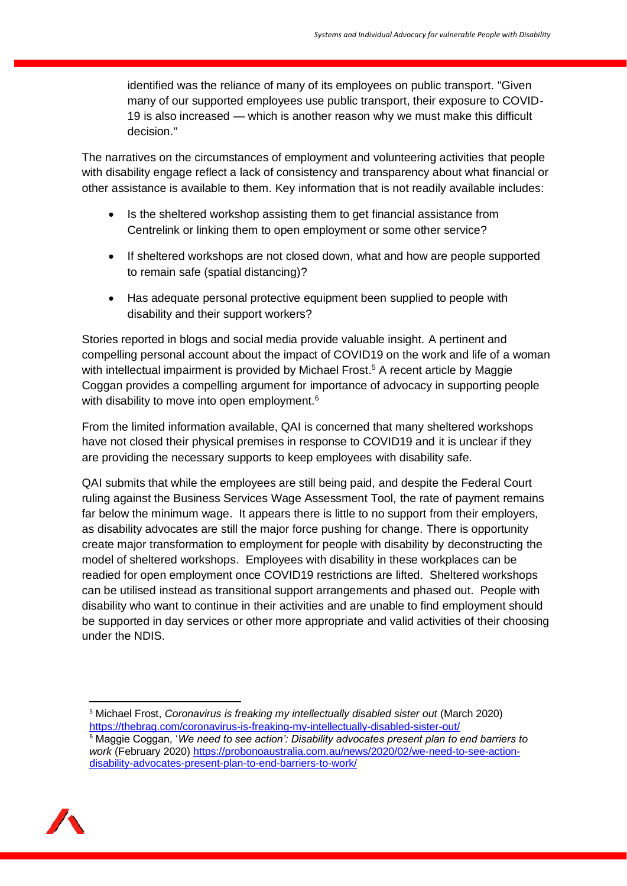identified was the reliance of many of its employees on public transport. "Given many of our supported employees use public transport, their exposure to COVID-19 is also increased — which is another reason why we must make this difficult decision."

The narratives on the circumstances of employment and volunteering activities that people with disability engage reflect a lack of consistency and transparency about what financial or other assistance is available to them. Key information that is not readily available includes:

- Is the sheltered workshop assisting them to get financial assistance from Centrelink or linking them to open employment or some other service?
- If sheltered workshops are not closed down, what and how are people supported to remain safe (spatial distancing)?
- Has adequate personal protective equipment been supplied to people with disability and their support workers?

Stories reported in blogs and social media provide valuable insight. A pertinent and compelling personal account about the impact of COVID19 on the work and life of a woman with intellectual impairment is provided by Michael Frost.<sup>5</sup> A recent article by Maggie Coggan provides a compelling argument for importance of advocacy in supporting people with disability to move into open employment.<sup>6</sup>

From the limited information available, QAI is concerned that many sheltered workshops have not closed their physical premises in response to COVID19 and it is unclear if they are providing the necessary supports to keep employees with disability safe.

QAI submits that while the employees are still being paid, and despite the Federal Court ruling against the Business Services Wage Assessment Tool, the rate of payment remains far below the minimum wage. It appears there is little to no support from their employers, as disability advocates are still the major force pushing for change. There is opportunity create major transformation to employment for people with disability by deconstructing the model of sheltered workshops. Employees with disability in these workplaces can be readied for open employment once COVID19 restrictions are lifted. Sheltered workshops can be utilised instead as transitional support arrangements and phased out. People with disability who want to continue in their activities and are unable to find employment should be supported in day services or other more appropriate and valid activities of their choosing under the NDIS.

<sup>&</sup>lt;sup>5</sup> Michael Frost, *Coronavirus is freaking my intellectually disabled sister out* (March 2020) <https://thebrag.com/coronavirus-is-freaking-my-intellectually-disabled-sister-out/> <sup>6</sup> Maggie Coggan, '*We need to see action': Disability advocates present plan to end barriers to work* (February 2020) [https://probonoaustralia.com.au/news/2020/02/we-need-to-see-action](https://probonoaustralia.com.au/news/2020/02/we-need-to-see-action-disability-advocates-present-plan-to-end-barriers-to-work/)[disability-advocates-present-plan-to-end-barriers-to-work/](https://probonoaustralia.com.au/news/2020/02/we-need-to-see-action-disability-advocates-present-plan-to-end-barriers-to-work/) 

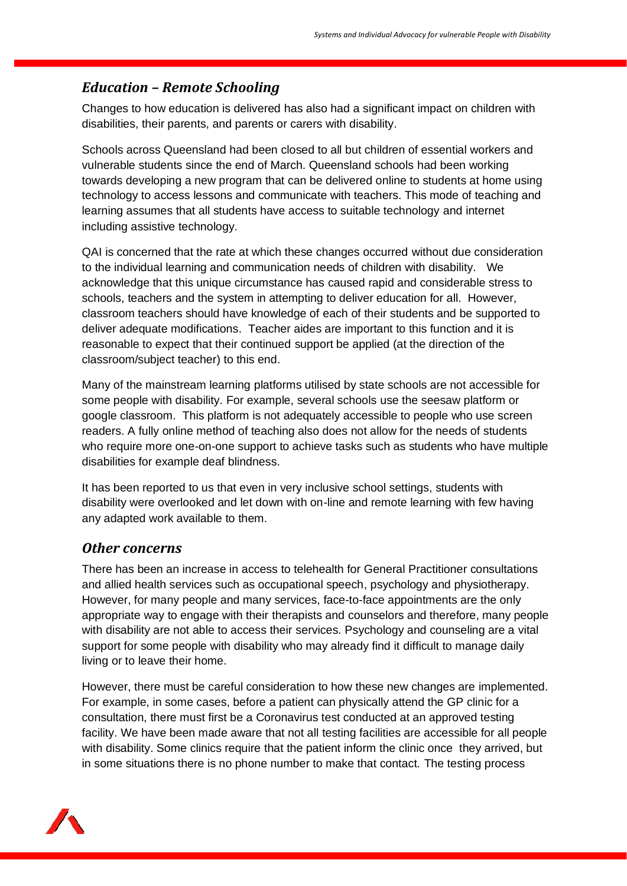## *Education – Remote Schooling*

Changes to how education is delivered has also had a significant impact on children with disabilities, their parents, and parents or carers with disability.

Schools across Queensland had been closed to all but children of essential workers and vulnerable students since the end of March. Queensland schools had been working towards developing a new program that can be delivered online to students at home using technology to access lessons and communicate with teachers. This mode of teaching and learning assumes that all students have access to suitable technology and internet including assistive technology.

QAI is concerned that the rate at which these changes occurred without due consideration to the individual learning and communication needs of children with disability. We acknowledge that this unique circumstance has caused rapid and considerable stress to schools, teachers and the system in attempting to deliver education for all. However, classroom teachers should have knowledge of each of their students and be supported to deliver adequate modifications. Teacher aides are important to this function and it is reasonable to expect that their continued support be applied (at the direction of the classroom/subject teacher) to this end.

Many of the mainstream learning platforms utilised by state schools are not accessible for some people with disability. For example, several schools use the seesaw platform or google classroom. This platform is not adequately accessible to people who use screen readers. A fully online method of teaching also does not allow for the needs of students who require more one-on-one support to achieve tasks such as students who have multiple disabilities for example deaf blindness.

It has been reported to us that even in very inclusive school settings, students with disability were overlooked and let down with on-line and remote learning with few having any adapted work available to them.

### *Other concerns*

There has been an increase in access to telehealth for General Practitioner consultations and allied health services such as occupational speech, psychology and physiotherapy. However, for many people and many services, face-to-face appointments are the only appropriate way to engage with their therapists and counselors and therefore, many people with disability are not able to access their services. Psychology and counseling are a vital support for some people with disability who may already find it difficult to manage daily living or to leave their home.

However, there must be careful consideration to how these new changes are implemented. For example, in some cases, before a patient can physically attend the GP clinic for a consultation, there must first be a Coronavirus test conducted at an approved testing facility. We have been made aware that not all testing facilities are accessible for all people with disability. Some clinics require that the patient inform the clinic once they arrived, but in some situations there is no phone number to make that contact. The testing process

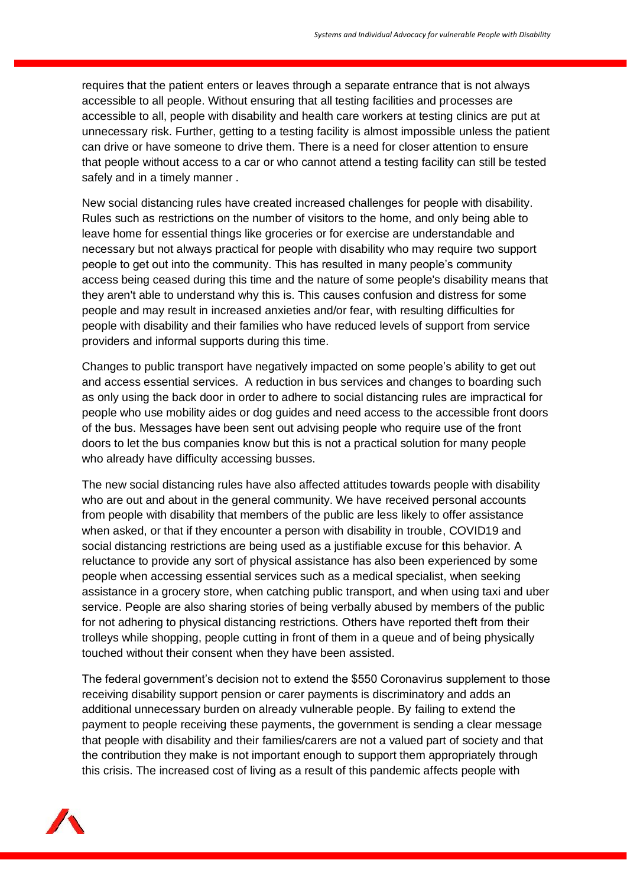requires that the patient enters or leaves through a separate entrance that is not always accessible to all people. Without ensuring that all testing facilities and processes are accessible to all, people with disability and health care workers at testing clinics are put at unnecessary risk. Further, getting to a testing facility is almost impossible unless the patient can drive or have someone to drive them. There is a need for closer attention to ensure that people without access to a car or who cannot attend a testing facility can still be tested safely and in a timely manner .

New social distancing rules have created increased challenges for people with disability. Rules such as restrictions on the number of visitors to the home, and only being able to leave home for essential things like groceries or for exercise are understandable and necessary but not always practical for people with disability who may require two support people to get out into the community. This has resulted in many people's community access being ceased during this time and the nature of some people's disability means that they aren't able to understand why this is. This causes confusion and distress for some people and may result in increased anxieties and/or fear, with resulting difficulties for people with disability and their families who have reduced levels of support from service providers and informal supports during this time.

Changes to public transport have negatively impacted on some people's ability to get out and access essential services. A reduction in bus services and changes to boarding such as only using the back door in order to adhere to social distancing rules are impractical for people who use mobility aides or dog guides and need access to the accessible front doors of the bus. Messages have been sent out advising people who require use of the front doors to let the bus companies know but this is not a practical solution for many people who already have difficulty accessing busses.

The new social distancing rules have also affected attitudes towards people with disability who are out and about in the general community. We have received personal accounts from people with disability that members of the public are less likely to offer assistance when asked, or that if they encounter a person with disability in trouble, COVID19 and social distancing restrictions are being used as a justifiable excuse for this behavior. A reluctance to provide any sort of physical assistance has also been experienced by some people when accessing essential services such as a medical specialist, when seeking assistance in a grocery store, when catching public transport, and when using taxi and uber service. People are also sharing stories of being verbally abused by members of the public for not adhering to physical distancing restrictions. Others have reported theft from their trolleys while shopping, people cutting in front of them in a queue and of being physically touched without their consent when they have been assisted.

The federal government's decision not to extend the \$550 Coronavirus supplement to those receiving disability support pension or carer payments is discriminatory and adds an additional unnecessary burden on already vulnerable people. By failing to extend the payment to people receiving these payments, the government is sending a clear message that people with disability and their families/carers are not a valued part of society and that the contribution they make is not important enough to support them appropriately through this crisis. The increased cost of living as a result of this pandemic affects people with